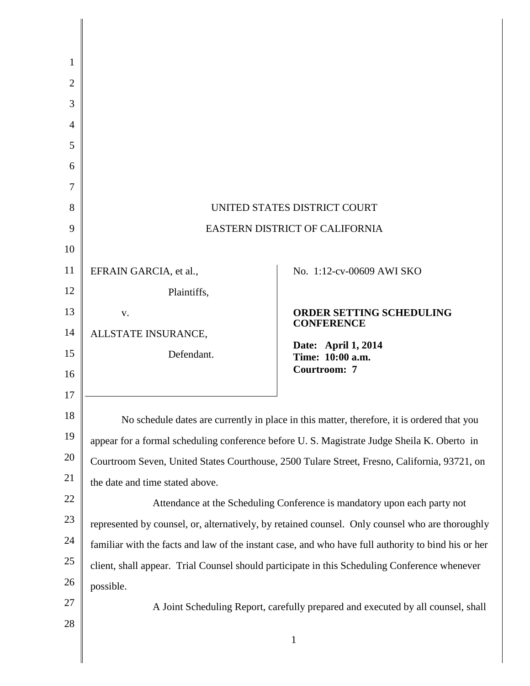| 1              |                                                                                                     |                                                                                               |
|----------------|-----------------------------------------------------------------------------------------------------|-----------------------------------------------------------------------------------------------|
| $\overline{2}$ |                                                                                                     |                                                                                               |
| 3              |                                                                                                     |                                                                                               |
| 4              |                                                                                                     |                                                                                               |
| 5              |                                                                                                     |                                                                                               |
| 6              |                                                                                                     |                                                                                               |
| 7              |                                                                                                     |                                                                                               |
| 8              | UNITED STATES DISTRICT COURT                                                                        |                                                                                               |
| 9              | EASTERN DISTRICT OF CALIFORNIA                                                                      |                                                                                               |
| 10             |                                                                                                     |                                                                                               |
| 11             | EFRAIN GARCIA, et al.,                                                                              | No. 1:12-cv-00609 AWI SKO                                                                     |
| 12             | Plaintiffs,                                                                                         |                                                                                               |
| 13             | V.                                                                                                  | ORDER SETTING SCHEDULING<br><b>CONFERENCE</b>                                                 |
| 14             | ALLSTATE INSURANCE,                                                                                 |                                                                                               |
| 15             | Defendant.                                                                                          | Date: April 1, 2014<br>Time: 10:00 a.m.                                                       |
| 16             |                                                                                                     | Courtroom: 7                                                                                  |
| 17             |                                                                                                     |                                                                                               |
| 18             | No schedule dates are currently in place in this matter, therefore, it is ordered that you          |                                                                                               |
| 19             | appear for a formal scheduling conference before U.S. Magistrate Judge Sheila K. Oberto in          |                                                                                               |
| 20             | Courtroom Seven, United States Courthouse, 2500 Tulare Street, Fresno, California, 93721, on        |                                                                                               |
| 21             | the date and time stated above.                                                                     |                                                                                               |
| 22             | Attendance at the Scheduling Conference is mandatory upon each party not                            |                                                                                               |
| 23             | represented by counsel, or, alternatively, by retained counsel. Only counsel who are thoroughly     |                                                                                               |
| 24             | familiar with the facts and law of the instant case, and who have full authority to bind his or her |                                                                                               |
| 25             |                                                                                                     | client, shall appear. Trial Counsel should participate in this Scheduling Conference whenever |
| 26             | possible.                                                                                           |                                                                                               |
| 27             | A Joint Scheduling Report, carefully prepared and executed by all counsel, shall                    |                                                                                               |
| 28             |                                                                                                     | $\mathbf{1}$                                                                                  |
|                |                                                                                                     |                                                                                               |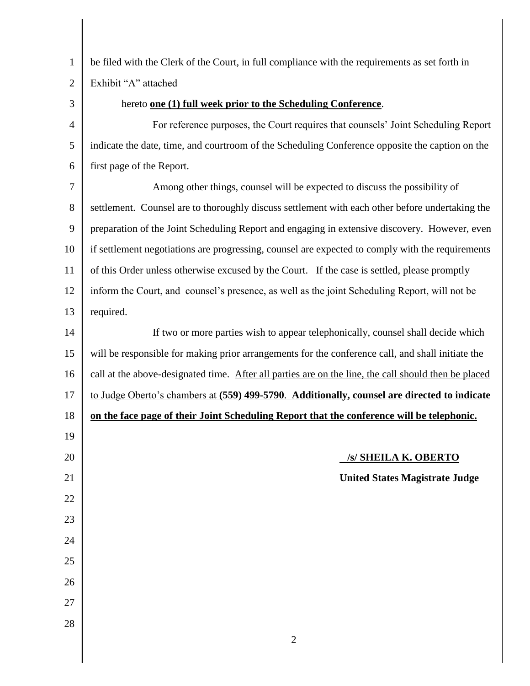1 2 3 4 5 6 7 8 9 10 11 12 13 14 15 16 17 18 19 20 21 22 23 24 25 26 27 28 2 be filed with the Clerk of the Court, in full compliance with the requirements as set forth in Exhibit "A" attached hereto **one (1) full week prior to the Scheduling Conference**. For reference purposes, the Court requires that counsels' Joint Scheduling Report indicate the date, time, and courtroom of the Scheduling Conference opposite the caption on the first page of the Report. Among other things, counsel will be expected to discuss the possibility of settlement. Counsel are to thoroughly discuss settlement with each other before undertaking the preparation of the Joint Scheduling Report and engaging in extensive discovery. However, even if settlement negotiations are progressing, counsel are expected to comply with the requirements of this Order unless otherwise excused by the Court. If the case is settled, please promptly inform the Court, and counsel's presence, as well as the joint Scheduling Report, will not be required. If two or more parties wish to appear telephonically, counsel shall decide which will be responsible for making prior arrangements for the conference call, and shall initiate the call at the above-designated time. After all parties are on the line, the call should then be placed to Judge Oberto's chambers at **(559) 499-5790**. **Additionally, counsel are directed to indicate on the face page of their Joint Scheduling Report that the conference will be telephonic. /s/ SHEILA K. OBERTO United States Magistrate Judge**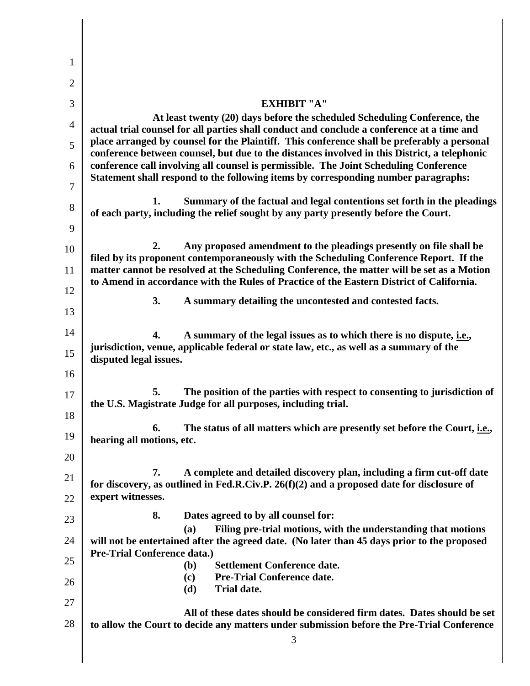| 1              |                                                                                                                                                                                                                                                                                  |  |  |
|----------------|----------------------------------------------------------------------------------------------------------------------------------------------------------------------------------------------------------------------------------------------------------------------------------|--|--|
| $\overline{2}$ |                                                                                                                                                                                                                                                                                  |  |  |
| 3              | <b>EXHIBIT "A"</b>                                                                                                                                                                                                                                                               |  |  |
| $\overline{4}$ | At least twenty (20) days before the scheduled Scheduling Conference, the<br>actual trial counsel for all parties shall conduct and conclude a conference at a time and<br>place arranged by counsel for the Plaintiff. This conference shall be preferably a personal           |  |  |
| 5              |                                                                                                                                                                                                                                                                                  |  |  |
| 6              | conference between counsel, but due to the distances involved in this District, a telephonic<br>conference call involving all counsel is permissible. The Joint Scheduling Conference                                                                                            |  |  |
| 7              | Statement shall respond to the following items by corresponding number paragraphs:                                                                                                                                                                                               |  |  |
| 8              | Summary of the factual and legal contentions set forth in the pleadings<br>1.                                                                                                                                                                                                    |  |  |
| 9              | of each party, including the relief sought by any party presently before the Court.                                                                                                                                                                                              |  |  |
| 10             | Any proposed amendment to the pleadings presently on file shall be<br>2.                                                                                                                                                                                                         |  |  |
| 11             | filed by its proponent contemporaneously with the Scheduling Conference Report. If the<br>matter cannot be resolved at the Scheduling Conference, the matter will be set as a Motion<br>to Amend in accordance with the Rules of Practice of the Eastern District of California. |  |  |
| 12             |                                                                                                                                                                                                                                                                                  |  |  |
| 13             | 3.<br>A summary detailing the uncontested and contested facts.                                                                                                                                                                                                                   |  |  |
| 14             |                                                                                                                                                                                                                                                                                  |  |  |
| 15             | A summary of the legal issues as to which there is no dispute, <i>i.e.</i> ,<br>4.<br>jurisdiction, venue, applicable federal or state law, etc., as well as a summary of the                                                                                                    |  |  |
| 16             | disputed legal issues.                                                                                                                                                                                                                                                           |  |  |
| 17             | The position of the parties with respect to consenting to jurisdiction of<br>5.                                                                                                                                                                                                  |  |  |
| 18             | the U.S. Magistrate Judge for all purposes, including trial.                                                                                                                                                                                                                     |  |  |
| 19             | The status of all matters which are presently set before the Court, <i>i.e.</i> ,<br>6.                                                                                                                                                                                          |  |  |
| 20             | hearing all motions, etc.                                                                                                                                                                                                                                                        |  |  |
|                | A complete and detailed discovery plan, including a firm cut-off date<br>7.                                                                                                                                                                                                      |  |  |
| 21             | for discovery, as outlined in Fed.R.Civ.P. $26(f)(2)$ and a proposed date for disclosure of<br>expert witnesses.                                                                                                                                                                 |  |  |
| 22             | 8.<br>Dates agreed to by all counsel for:                                                                                                                                                                                                                                        |  |  |
| 23             | Filing pre-trial motions, with the understanding that motions<br>(a)                                                                                                                                                                                                             |  |  |
| 24             | will not be entertained after the agreed date. (No later than 45 days prior to the proposed<br><b>Pre-Trial Conference data.)</b>                                                                                                                                                |  |  |
| 25             | <b>Settlement Conference date.</b><br>( <b>b</b> )<br><b>Pre-Trial Conference date.</b><br>(c)                                                                                                                                                                                   |  |  |
| 26             | <b>Trial date.</b><br>(d)                                                                                                                                                                                                                                                        |  |  |
| 27             | All of these dates should be considered firm dates. Dates should be set                                                                                                                                                                                                          |  |  |
| 28             | to allow the Court to decide any matters under submission before the Pre-Trial Conference<br>3                                                                                                                                                                                   |  |  |
|                |                                                                                                                                                                                                                                                                                  |  |  |
|                |                                                                                                                                                                                                                                                                                  |  |  |